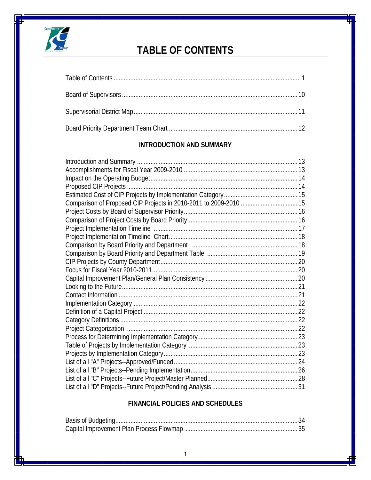

# **TABLE OF CONTENTS**

## **INTRODUCTION AND SUMMARY**

## **FINANCIAL POLICIES AND SCHEDULES**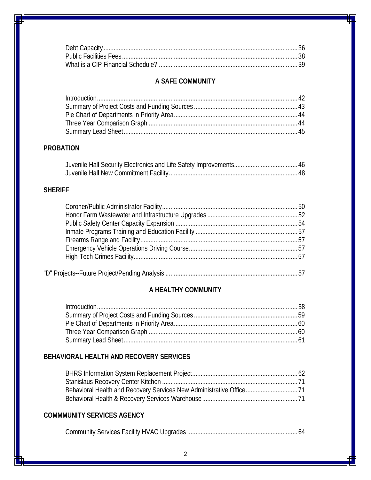# **A SAFE COMMUNITY**

# **PROBATION**

## **SHERIFF**

# "D" Projects--Future Project/Pending Analysis ...............................................................................57

## **A HEALTHY COMMUNITY**

### **BEHAVIORAL HEALTH AND RECOVERY SERVICES**

### **COMMMUNITY SERVICES AGENCY**

|--|--|--|--|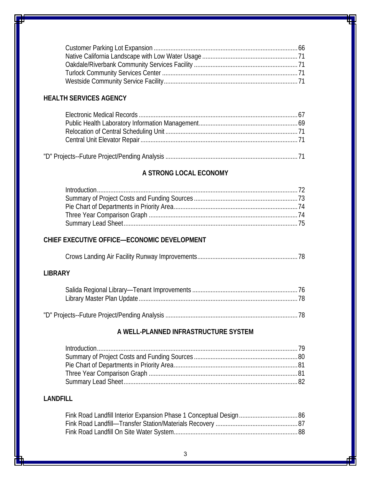# **HEALTH SERVICES AGENCY**

#### **A STRONG LOCAL ECONOMY**

| Introduction 122 |  |
|------------------|--|
|                  |  |
|                  |  |
|                  |  |
|                  |  |

#### **CHIEF EXECUTIVE OFFICE—ECONOMIC DEVELOPMENT**

#### **LIBRARY**

# **A WELL-PLANNED INFRASTRUCTURE SYSTEM**

| Introduction 1279 |  |
|-------------------|--|
|                   |  |
|                   |  |
|                   |  |
|                   |  |

#### **LANDFILL**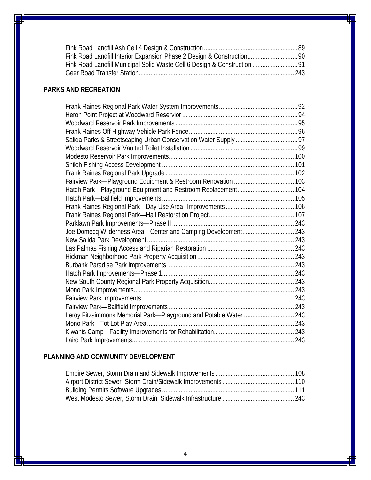# **PARKS AND RECREATION**

| Joe Domecq Wilderness Area-Center and Camping Development 243     |  |
|-------------------------------------------------------------------|--|
|                                                                   |  |
|                                                                   |  |
|                                                                   |  |
|                                                                   |  |
|                                                                   |  |
|                                                                   |  |
|                                                                   |  |
|                                                                   |  |
|                                                                   |  |
| Leroy Fitzsimmons Memorial Park-Playground and Potable Water  243 |  |
|                                                                   |  |
|                                                                   |  |
|                                                                   |  |

### **PLANNING AND COMMUNITY DEVELOPMENT**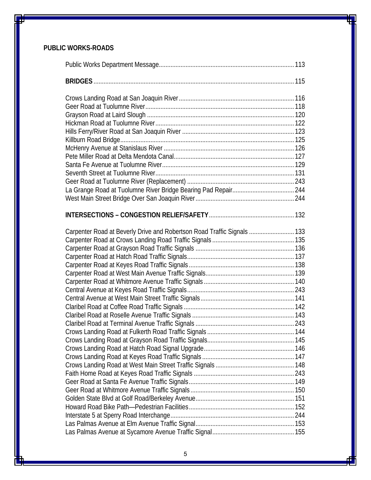## **PUBLIC WORKS-ROADS**

| Carpenter Road at Beverly Drive and Robertson Road Traffic Signals  133 |  |
|-------------------------------------------------------------------------|--|
|                                                                         |  |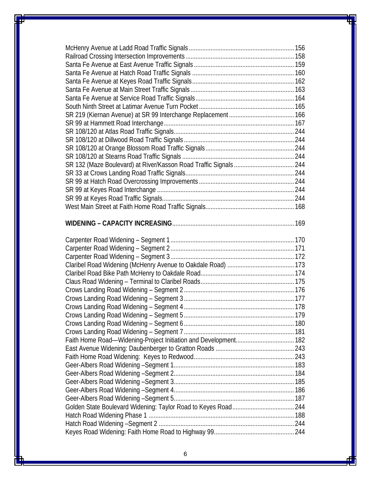| Faith Home Road-Widening-Project Initiation and Development 182 |  |
|-----------------------------------------------------------------|--|
|                                                                 |  |
|                                                                 |  |
|                                                                 |  |
|                                                                 |  |
|                                                                 |  |
|                                                                 |  |
|                                                                 |  |
|                                                                 |  |
|                                                                 |  |
|                                                                 |  |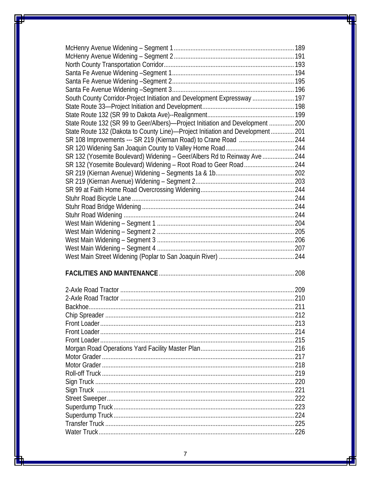| South County Corridor-Project Initiation and Development Expressway  197        |     |
|---------------------------------------------------------------------------------|-----|
|                                                                                 |     |
|                                                                                 |     |
| State Route 132 (SR 99 to Geer/Albers)—Project Initiation and Development  200  |     |
| State Route 132 (Dakota to County Line)-Project Initiation and Development  201 |     |
|                                                                                 |     |
|                                                                                 |     |
|                                                                                 |     |
| SR 132 (Yosemite Boulevard) Widening - Geer/Albers Rd to Reinway Ave  244       |     |
|                                                                                 |     |
|                                                                                 |     |
|                                                                                 |     |
|                                                                                 |     |
|                                                                                 |     |
|                                                                                 |     |
|                                                                                 |     |
|                                                                                 |     |
|                                                                                 |     |
|                                                                                 |     |
|                                                                                 |     |
|                                                                                 |     |
|                                                                                 |     |
|                                                                                 | 208 |
|                                                                                 |     |
|                                                                                 |     |
|                                                                                 |     |
|                                                                                 |     |
| Chip Spreader                                                                   | 212 |
|                                                                                 |     |
|                                                                                 |     |
|                                                                                 |     |
|                                                                                 |     |
|                                                                                 |     |
|                                                                                 |     |
|                                                                                 |     |
|                                                                                 |     |
|                                                                                 |     |
|                                                                                 |     |
|                                                                                 |     |
|                                                                                 |     |
|                                                                                 |     |
|                                                                                 |     |
|                                                                                 |     |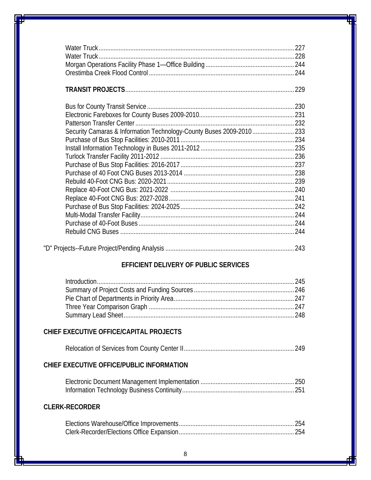|                                                                       | 229 |
|-----------------------------------------------------------------------|-----|
|                                                                       |     |
|                                                                       |     |
|                                                                       |     |
| Security Camaras & Information Technology-County Buses 2009-2010  233 |     |
|                                                                       |     |
|                                                                       |     |
|                                                                       |     |
|                                                                       |     |
|                                                                       |     |
|                                                                       |     |
|                                                                       |     |
|                                                                       |     |
|                                                                       |     |
|                                                                       |     |
|                                                                       |     |
|                                                                       |     |
|                                                                       |     |

|--|--|--|

# **EFFICIENT DELIVERY OF PUBLIC SERVICES**

# **CHIEF EXECUTIVE OFFICE/CAPITAL PROJECTS**

|--|--|--|

## **CHIEF EXECUTIVE OFFICE/PUBLIC INFORMATION**

# **CLERK-RECORDER**